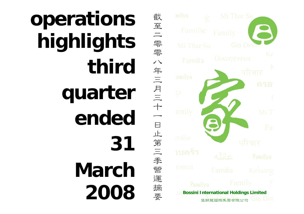

Gia Dinh **Bossini International Holdings Limited** 堡獅龍國際集團有限公司

截

至

二 零零

八年三月三十

一

日止第三季營運

摘

要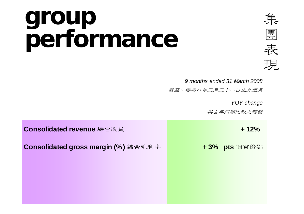## **group performance**



 *9 months ended 31 March 2008*

武至二零零八年三月三十一日止九個月

*YOY change*

與去年同期比較之轉變

| Consolidated revenue 綜合收益           | $+12%$        |
|-------------------------------------|---------------|
| Consolidated gross margin (%) 綜合毛利率 | + 3% pts 個百份點 |
|                                     |               |
|                                     |               |
|                                     |               |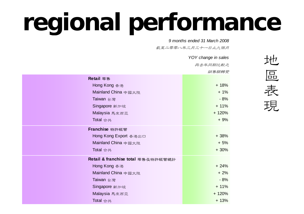## **regional performance**

 *9 months ended 31 March 2008*

截至二零零八年三月三十一日止九個月

|                                    | YOY change in sales |  |  |
|------------------------------------|---------------------|--|--|
|                                    | 與去年同期比較之            |  |  |
|                                    | 銷售額轉變               |  |  |
| Retail 零售                          |                     |  |  |
| Hong Kong 香港                       | $+18%$              |  |  |
| Mainland China 中國大陸                | $+1%$               |  |  |
| Taiwan 台灣                          | $-8%$               |  |  |
| Singapore 新加坡                      | $+ 11%$             |  |  |
| Malaysia 馬來西亞                      | $+ 120%$            |  |  |
| Total 合共                           | $+9%$               |  |  |
| Franchise 特許經營                     |                     |  |  |
| Hong Kong Export 香港出口              | $+38%$              |  |  |
| Mainland China 中國大陸                | $+5%$               |  |  |
| Total 合共                           | $+30%$              |  |  |
| Retail & franchise total 零售及特許經營總計 |                     |  |  |
| Hong Kong 香港                       | $+24%$              |  |  |
| Mainland China 中國大陸                | $+2%$               |  |  |
| Taiwan 台灣                          | $-8%$               |  |  |
| Singapore 新加坡                      | $+ 11%$             |  |  |
| Malaysia 馬來西亞                      | $+120%$             |  |  |
| Total 合共                           | $+13%$              |  |  |
|                                    |                     |  |  |

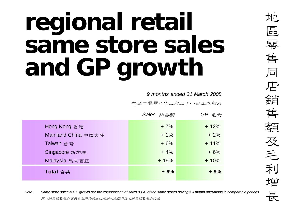## **regional retail same store sales and GP growth**

*9 months ended 31 March 2008*

武至二零零八年三月三十一日止九個月

|                     | Sales 銷售額 | $GP \not\equiv \not\equiv \not\equiv \forall$ |
|---------------------|-----------|-----------------------------------------------|
| Hong Kong 香港        | $+7%$     | $+12%$                                        |
| Mainland China 中國大陸 | $+1\%$    | $+2%$                                         |
| Taiwan 台灣           | $+6%$     | $+11%$                                        |
| Singapore 新加坡       | $+4%$     | $+6%$                                         |
| Malaysia 馬來西亞       | $+19%$    | $+10%$                                        |
| Total 合共            | $+6%$     | $+9%$                                         |

地區零 售同店銷售額及毛利增 長

*Note:*<br>*Dote: Same store sales & GP growth are the comparisons of sales & GP of the same stores having full month operations in comparable periods***<br>同店銷售額及毛利增長為相同店舖於比較期內完整月份之銷售額及毛利比較**